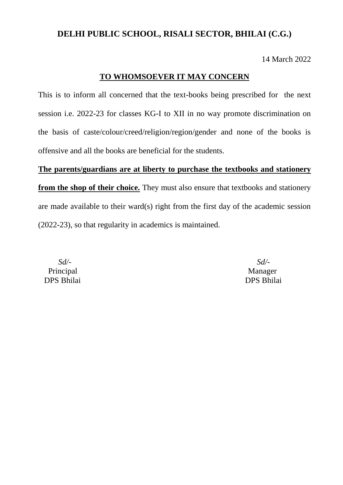14 March 2022

### **TO WHOMSOEVER IT MAY CONCERN**

This is to inform all concerned that the text-books being prescribed for the next session i.e. 2022-23 for classes KG-I to XII in no way promote discrimination on the basis of caste/colour/creed/religion/region/gender and none of the books is offensive and all the books are beneficial for the students.

**The parents/guardians are at liberty to purchase the textbooks and stationery from the shop of their choice.** They must also ensure that textbooks and stationery are made available to their ward(s) right from the first day of the academic session (2022-23), so that regularity in academics is maintained.

 *Sd/-* Principal DPS Bhilai

 *Sd/-* Manager DPS Bhilai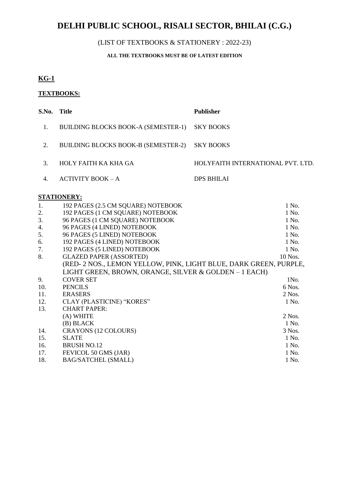## (LIST OF TEXTBOOKS & STATIONERY : 2022-23)

### **ALL THE TEXTBOOKS MUST BE OF LATEST EDITION**

# **KG-1**

### **TEXTBOOKS:**

|    | S.No. Title                         | <b>Publisher</b>                  |
|----|-------------------------------------|-----------------------------------|
|    | BUILDING BLOCKS BOOK-A (SEMESTER-1) | <b>SKY BOOKS</b>                  |
| 2. | BUILDING BLOCKS BOOK-B (SEMESTER-2) | SKY BOOKS                         |
| 3  | HOLY FAITH KA KHA GA                | HOLYFAITH INTERNATIONAL PVT. LTD. |
|    | $ACTIVITY BOOK - A$                 | DPS BHILAI                        |
|    |                                     |                                   |

| 1.  | 192 PAGES (2.5 CM SQUARE) NOTEBOOK                               | 1 No.    |
|-----|------------------------------------------------------------------|----------|
| 2.  | 192 PAGES (1 CM SQUARE) NOTEBOOK                                 | 1 No.    |
| 3.  | 96 PAGES (1 CM SQUARE) NOTEBOOK                                  | 1 No.    |
| 4.  | 96 PAGES (4 LINED) NOTEBOOK                                      | 1 No.    |
| 5.  | 96 PAGES (5 LINED) NOTEBOOK                                      | 1 No.    |
| 6.  | 192 PAGES (4 LINED) NOTEBOOK                                     | 1 No.    |
| 7.  | 192 PAGES (5 LINED) NOTEBOOK                                     | 1 No.    |
| 8.  | <b>GLAZED PAPER (ASSORTED)</b>                                   | 10 Nos.  |
|     | (RED-2 NOS., LEMON YELLOW, PINK, LIGHT BLUE, DARK GREEN, PURPLE, |          |
|     | LIGHT GREEN, BROWN, ORANGE, SILVER & GOLDEN - 1 EACH)            |          |
| 9.  | <b>COVER SET</b>                                                 | 1No.     |
| 10. | <b>PENCILS</b>                                                   | 6 Nos.   |
| 11. | <b>ERASERS</b>                                                   | $2$ Nos. |
| 12. | CLAY (PLASTICINE) "KORES"                                        | 1 No.    |
| 13. | <b>CHART PAPER:</b>                                              |          |
|     | (A) WHITE                                                        | 2 Nos.   |
|     | (B) BLACK                                                        | 1 No.    |
| 14. | CRAYONS (12 COLOURS)                                             | 3 Nos.   |
| 15. | <b>SLATE</b>                                                     | 1 No.    |
| 16. | <b>BRUSH NO.12</b>                                               | 1 No.    |
| 17. | FEVICOL 50 GMS (JAR)                                             | 1 No.    |
| 18. | <b>BAG/SATCHEL (SMALL)</b>                                       | 1 No.    |
|     |                                                                  |          |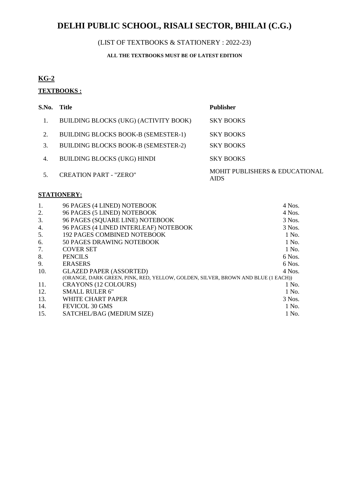## (LIST OF TEXTBOOKS & STATIONERY : 2022-23)

### **ALL THE TEXTBOOKS MUST BE OF LATEST EDITION**

# **KG-2**

# **TEXTBOOKS :**

| S.No. | - Title                                    | <b>Publisher</b>                              |
|-------|--------------------------------------------|-----------------------------------------------|
|       | BUILDING BLOCKS (UKG) (ACTIVITY BOOK)      | <b>SKY BOOKS</b>                              |
| 2.    | <b>BUILDING BLOCKS BOOK-B (SEMESTER-1)</b> | <b>SKY BOOKS</b>                              |
| 3.    | <b>BUILDING BLOCKS BOOK-B (SEMESTER-2)</b> | <b>SKY BOOKS</b>                              |
| 4.    | <b>BUILDING BLOCKS (UKG) HINDI</b>         | <b>SKY BOOKS</b>                              |
|       | <b>CREATION PART - "ZERO"</b>              | MOHIT PUBLISHERS & EDUCATIONAL<br><b>AIDS</b> |

| 1.  | 96 PAGES (4 LINED) NOTEBOOK                                                      | 4 Nos.   |
|-----|----------------------------------------------------------------------------------|----------|
| 2.  | 96 PAGES (5 LINED) NOTEBOOK                                                      | 4 Nos.   |
| 3.  | 96 PAGES (SQUARE LINE) NOTEBOOK                                                  | 3 Nos.   |
| 4.  | 96 PAGES (4 LINED INTERLEAF) NOTEBOOK                                            | 3 Nos.   |
| 5.  | <b>192 PAGES COMBINED NOTEBOOK</b>                                               | 1 No.    |
| 6.  | 50 PAGES DRAWING NOTEBOOK                                                        | 1 No.    |
| 7.  | <b>COVER SET</b>                                                                 | 1 No.    |
| 8.  | <b>PENCILS</b>                                                                   | 6 Nos.   |
| 9.  | <b>ERASERS</b>                                                                   | $6$ Nos. |
| 10. | <b>GLAZED PAPER (ASSORTED)</b>                                                   | $4$ Nos. |
|     | (ORANGE, DARK GREEN, PINK, RED, YELLOW, GOLDEN, SILVER, BROWN AND BLUE (1 EACH)) |          |
| 11. | <b>CRAYONS (12 COLOURS)</b>                                                      | 1 No.    |
| 12. | <b>SMALL RULER 6"</b>                                                            | 1 No.    |
| 13. | WHITE CHART PAPER                                                                | 3 Nos.   |
| 14. | FEVICOL 30 GMS                                                                   | 1 No.    |
| 15. | SATCHEL/BAG (MEDIUM SIZE)                                                        | 1 No.    |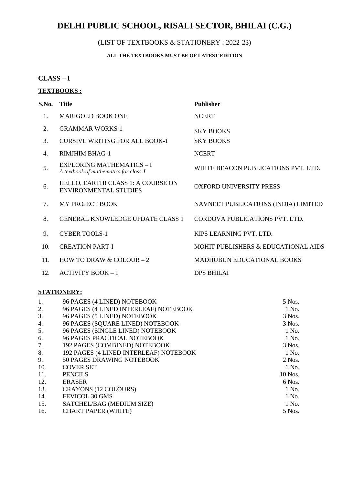## (LIST OF TEXTBOOKS & STATIONERY : 2022-23)

### **ALL THE TEXTBOOKS MUST BE OF LATEST EDITION**

### **CLASS – I**

# **TEXTBOOKS :**

| S.No.          | <b>Title</b>                                                              | <b>Publisher</b>                     |
|----------------|---------------------------------------------------------------------------|--------------------------------------|
| $\mathbf{1}$ . | <b>MARIGOLD BOOK ONE</b>                                                  | <b>NCERT</b>                         |
| 2.             | <b>GRAMMAR WORKS-1</b>                                                    | <b>SKY BOOKS</b>                     |
| 3.             | <b>CURSIVE WRITING FOR ALL BOOK-1</b>                                     | <b>SKY BOOKS</b>                     |
| 4.             | <b>RIMJHIM BHAG-1</b>                                                     | <b>NCERT</b>                         |
| 5.             | <b>EXPLORING MATHEMATICS - I</b><br>A textbook of mathematics for class-I | WHITE BEACON PUBLICATIONS PVT. LTD.  |
| 6.             | HELLO, EARTH! CLASS 1: A COURSE ON<br><b>ENVIRONMENTAL STUDIES</b>        | <b>OXFORD UNIVERSITY PRESS</b>       |
| 7.             | MY PROJECT BOOK                                                           | NAVNEET PUBLICATIONS (INDIA) LIMITED |
| 8.             | <b>GENERAL KNOWLEDGE UPDATE CLASS 1</b>                                   | CORDOVA PUBLICATIONS PVT. LTD.       |
| 9.             | <b>CYBER TOOLS-1</b>                                                      | KIPS LEARNING PVT. LTD.              |
| 10.            | <b>CREATION PART-I</b>                                                    | MOHIT PUBLISHERS & EDUCATIONAL AIDS  |
| 11.            | HOW TO DRAW & COLOUR $-2$                                                 | <b>MADHUBUN EDUCATIONAL BOOKS</b>    |
| 12.            | $ACTIVITY BOOK-1$                                                         | <b>DPS BHILAI</b>                    |
|                |                                                                           |                                      |

| 96 PAGES (4 LINED) NOTEBOOK            | 5 Nos.   |
|----------------------------------------|----------|
| 96 PAGES (4 LINED INTERLEAF) NOTEBOOK  | 1 No.    |
| 96 PAGES (5 LINED) NOTEBOOK            | $3$ Nos. |
| 96 PAGES (SQUARE LINED) NOTEBOOK       | $3$ Nos. |
| 96 PAGES (SINGLE LINED) NOTEBOOK       | 1 No.    |
| <b>96 PAGES PRACTICAL NOTEBOOK</b>     | 1 No.    |
| 192 PAGES (COMBINED) NOTEBOOK          | $3$ Nos. |
| 192 PAGES (4 LINED INTERLEAF) NOTEBOOK | 1 No.    |
| 50 PAGES DRAWING NOTEBOOK              | $2$ Nos. |
| <b>COVER SET</b>                       | 1 No.    |
| <b>PENCILS</b>                         | 10 Nos.  |
| <b>ERASER</b>                          | 6 Nos.   |
| <b>CRAYONS (12 COLOURS)</b>            | 1 No.    |
| FEVICOL 30 GMS                         | 1 No.    |
| SATCHEL/BAG (MEDIUM SIZE)              | 1 No.    |
| <b>CHART PAPER (WHITE)</b>             | 5 Nos.   |
|                                        |          |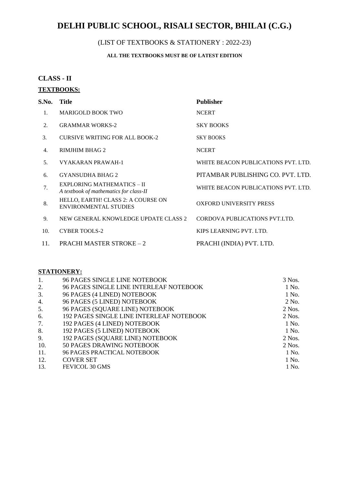## (LIST OF TEXTBOOKS & STATIONERY : 2022-23)

### **ALL THE TEXTBOOKS MUST BE OF LATEST EDITION**

### **CLASS - II**

### **TEXTBOOKS:**

| S.No. | Title                                                                | <b>Publisher</b>                    |
|-------|----------------------------------------------------------------------|-------------------------------------|
| 1.    | <b>MARIGOLD BOOK TWO</b>                                             | <b>NCERT</b>                        |
| 2.    | <b>GRAMMAR WORKS-2</b>                                               | <b>SKY BOOKS</b>                    |
| 3.    | <b>CURSIVE WRITING FOR ALL BOOK-2</b>                                | <b>SKY BOOKS</b>                    |
| 4.    | RIMJHIM BHAG 2                                                       | <b>NCERT</b>                        |
| .5.   | VYAKARAN PRAWAH-1                                                    | WHITE BEACON PUBLICATIONS PVT. LTD. |
| 6.    | <b>GYANSUDHA BHAG 2</b>                                              | PITAMBAR PUBLISHING CO. PVT. LTD.   |
| 7.    | EXPLORING MATHEMATICS - II<br>A textbook of mathematics for class-II | WHITE BEACON PUBLICATIONS PVT. LTD. |
| 8.    | HELLO, EARTH! CLASS 2: A COURSE ON<br><b>ENVIRONMENTAL STUDIES</b>   | <b>OXFORD UNIVERSITY PRESS</b>      |
| 9.    | NEW GENERAL KNOWLEDGE UPDATE CLASS 2                                 | CORDOVA PUBLICATIONS PVT.LTD.       |
| 10.   | <b>CYBER TOOLS-2</b>                                                 | KIPS LEARNING PVT. LTD.             |
| 11.   | <b>PRACHI MASTER STROKE - 2</b>                                      | PRACHI (INDIA) PVT. LTD.            |

| 1.               | 96 PAGES SINGLE LINE NOTEBOOK                   | 3 Nos.   |
|------------------|-------------------------------------------------|----------|
| 2.               | 96 PAGES SINGLE LINE INTERLEAF NOTEBOOK         | 1 No.    |
| 3.               | 96 PAGES (4 LINED) NOTEBOOK                     | 1 No.    |
| $\overline{4}$ . | 96 PAGES (5 LINED) NOTEBOOK                     | 2 No.    |
| 5.               | 96 PAGES (SQUARE LINE) NOTEBOOK                 | $2$ Nos. |
| 6.               | <b>192 PAGES SINGLE LINE INTERLEAF NOTEBOOK</b> | $2$ Nos. |
| 7.               | 192 PAGES (4 LINED) NOTEBOOK                    | 1 No.    |
| 8.               | 192 PAGES (5 LINED) NOTEBOOK                    | 1 No.    |
| 9.               | 192 PAGES (SQUARE LINE) NOTEBOOK                | $2$ Nos. |
| 10.              | 50 PAGES DRAWING NOTEBOOK                       | $2$ Nos. |
| 11.              | <b>96 PAGES PRACTICAL NOTEBOOK</b>              | 1 No.    |
| 12.              | <b>COVER SET</b>                                | 1 No.    |
| 13.              | FEVICOL 30 GMS                                  | 1 No.    |
|                  |                                                 |          |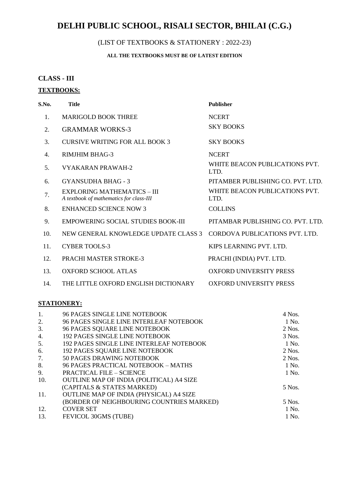## (LIST OF TEXTBOOKS & STATIONERY : 2022-23)

### **ALL THE TEXTBOOKS MUST BE OF LATEST EDITION**

### **CLASS - III**

### **TEXTBOOKS:**

| S.No. | <b>Title</b>                                                                  | <b>Publisher</b>                       |
|-------|-------------------------------------------------------------------------------|----------------------------------------|
| 1.    | <b>MARIGOLD BOOK THREE</b>                                                    | <b>NCERT</b>                           |
| 2.    | <b>GRAMMAR WORKS-3</b>                                                        | <b>SKY BOOKS</b>                       |
| 3.    | CURSIVE WRITING FOR ALL BOOK 3                                                | <b>SKY BOOKS</b>                       |
| 4.    | <b>RIMJHIM BHAG-3</b>                                                         | <b>NCERT</b>                           |
| 5.    | <b>VYAKARAN PRAWAH-2</b>                                                      | WHITE BEACON PUBLICATIONS PVT.<br>LTD. |
| 6.    | <b>GYANSUDHA BHAG - 3</b>                                                     | PITAMBER PUBLISHING CO. PVT. LTD.      |
| 7.    | <b>EXPLORING MATHEMATICS - III</b><br>A textbook of mathematics for class-III | WHITE BEACON PUBLICATIONS PVT.<br>LTD. |
| 8.    | <b>ENHANCED SCIENCE NOW 3</b>                                                 | <b>COLLINS</b>                         |
| 9.    | <b>EMPOWERING SOCIAL STUDIES BOOK-III</b>                                     | PITAMBAR PUBLISHING CO. PVT. LTD.      |
| 10.   | NEW GENERAL KNOWLEDGE UPDATE CLASS 3                                          | CORDOVA PUBLICATIONS PVT. LTD.         |
| 11.   | <b>CYBER TOOLS-3</b>                                                          | KIPS LEARNING PVT. LTD.                |
| 12.   | PRACHI MASTER STROKE-3                                                        | PRACHI (INDIA) PVT. LTD.               |
| 13.   | <b>OXFORD SCHOOL ATLAS</b>                                                    | <b>OXFORD UNIVERSITY PRESS</b>         |
| 14.   | THE LITTLE OXFORD ENGLISH DICTIONARY                                          | <b>OXFORD UNIVERSITY PRESS</b>         |

| $\mathbf{1}$ . | 96 PAGES SINGLE LINE NOTEBOOK                  | $4$ Nos. |
|----------------|------------------------------------------------|----------|
| 2.             | 96 PAGES SINGLE LINE INTERLEAF NOTEBOOK        | 1 No.    |
| 3.             | 96 PAGES SQUARE LINE NOTEBOOK                  | $2$ Nos. |
| 4.             | <b>192 PAGES SINGLE LINE NOTEBOOK</b>          | 3 Nos.   |
| 5.             | 192 PAGES SINGLE LINE INTERLEAF NOTEBOOK       | 1 No.    |
| 6.             | <b>192 PAGES SQUARE LINE NOTEBOOK</b>          | $2$ Nos. |
| 7.             | 50 PAGES DRAWING NOTEBOOK                      | $2$ Nos. |
| 8.             | 96 PAGES PRACTICAL NOTEBOOK - MATHS            | 1 No.    |
| 9.             | <b>PRACTICAL FILE - SCIENCE</b>                | 1 No.    |
| 10.            | OUTLINE MAP OF INDIA (POLITICAL) A4 SIZE       |          |
|                | (CAPITALS & STATES MARKED)                     | 5 Nos.   |
| 11.            | <b>OUTLINE MAP OF INDIA (PHYSICAL) A4 SIZE</b> |          |
|                | (BORDER OF NEIGHBOURING COUNTRIES MARKED)      | 5 Nos.   |
| 12.            | <b>COVER SET</b>                               | 1 No.    |
| 13.            | FEVICOL 30GMS (TUBE)                           | 1 No.    |
|                |                                                |          |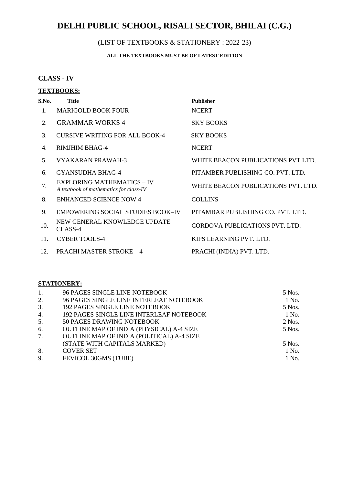#### (LIST OF TEXTBOOKS & STATIONERY : 2022-23)

### **ALL THE TEXTBOOKS MUST BE OF LATEST EDITION**

### **CLASS - IV**

# **TEXTBOOKS: S.No. Title Publisher** 1. MARIGOLD BOOK FOUR NCERT 2. GRAMMAR WORKS 4 SKY BOOKS 3. CURSIVE WRITING FOR ALL BOOK-4 SKY BOOKS 4. RIMJHIM BHAG-4 NCERT 5. VYAKARAN PRAWAH-3 WHITE BEACON PUBLICATIONS PVT LTD. 6. GYANSUDHA BHAG-4 PITAMBER PUBLISHING CO. PVT. LTD. 7. EXPLORING MATHEMATICS – IV<br>A textbook of mathematics for class-IV 8. ENHANCED SCIENCE NOW 4 COLLINS 9. EMPOWERING SOCIAL STUDIES BOOK–IV PITAMBAR PUBLISHING CO. PVT. LTD. 10. NEW GENERAL KNOWLEDGE UPDATE

- CLASS-4 11. CYBER TOOLS-4 KIPS LEARNING PVT. LTD.
- 12. PRACHI MASTER STROKE 4 PRACHI (INDIA) PVT. LTD.

**WHITE BEACON PUBLICATIONS PVT. LTD.** 

CORDOVA PUBLICATIONS PVT. LTD.

| 1. | 96 PAGES SINGLE LINE NOTEBOOK             | 5 Nos.   |
|----|-------------------------------------------|----------|
| 2. | 96 PAGES SINGLE LINE INTERLEAF NOTEBOOK   | 1 No.    |
| 3. | 192 PAGES SINGLE LINE NOTEBOOK            | 5 Nos.   |
| 4. | 192 PAGES SINGLE LINE INTERLEAF NOTEBOOK  | 1 No.    |
| 5. | 50 PAGES DRAWING NOTEBOOK                 | $2$ Nos. |
| 6. | OUTLINE MAP OF INDIA (PHYSICAL) A-4 SIZE  | 5 Nos.   |
| 7. | OUTLINE MAP OF INDIA (POLITICAL) A-4 SIZE |          |
|    | (STATE WITH CAPITALS MARKED)              | 5 Nos.   |
| 8. | <b>COVER SET</b>                          | 1 No.    |
| 9. | FEVICOL 30GMS (TUBE)                      | 1 No.    |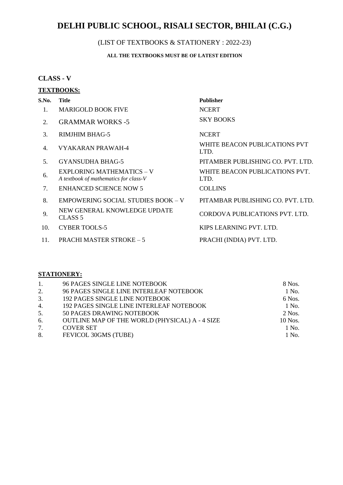## (LIST OF TEXTBOOKS & STATIONERY : 2022-23)

### **ALL THE TEXTBOOKS MUST BE OF LATEST EDITION**

### **CLASS - V**

### **TEXTBOOKS:**

| S.No. | <b>Title</b>                                                              | <b>Publisher</b>                       |
|-------|---------------------------------------------------------------------------|----------------------------------------|
|       | <b>MARIGOLD BOOK FIVE</b>                                                 | <b>NCERT</b>                           |
| 2.    | <b>GRAMMAR WORKS -5</b>                                                   | <b>SKY BOOKS</b>                       |
| 3.    | <b>RIMJHIM BHAG-5</b>                                                     | <b>NCERT</b>                           |
| 4.    | VYAKARAN PRAWAH-4                                                         | WHITE BEACON PUBLICATIONS PVT<br>LTD.  |
| .5.   | GYANSUDHA BHAG-5                                                          | PITAMBER PUBLISHING CO. PVT. LTD.      |
| 6.    | <b>EXPLORING MATHEMATICS - V</b><br>A textbook of mathematics for class-V | WHITE BEACON PUBLICATIONS PVT.<br>LTD. |
| 7.    | <b>ENHANCED SCIENCE NOW 5</b>                                             | <b>COLLINS</b>                         |
| 8.    | <b>EMPOWERING SOCIAL STUDIES BOOK - V</b>                                 | PITAMBAR PUBLISHING CO. PVT. LTD.      |
| 9.    | NEW GENERAL KNOWLEDGE UPDATE<br>CLASS <sub>5</sub>                        | CORDOVA PUBLICATIONS PVT. LTD.         |
| 10.   | <b>CYBER TOOLS-5</b>                                                      | KIPS LEARNING PVT. LTD.                |
| 11.   | <b>PRACHI MASTER STROKE – 5</b>                                           | PRACHI (INDIA) PVT. LTD.               |

| 1.               | 96 PAGES SINGLE LINE NOTEBOOK                   | 8 Nos.   |
|------------------|-------------------------------------------------|----------|
| 2.               | 96 PAGES SINGLE LINE INTERLEAF NOTEBOOK         | 1 No.    |
| 3.               | <b>192 PAGES SINGLE LINE NOTEBOOK</b>           | 6 Nos.   |
| $\overline{4}$ . | <b>192 PAGES SINGLE LINE INTERLEAF NOTEBOOK</b> | 1 No.    |
| 5.               | 50 PAGES DRAWING NOTEBOOK                       | $2$ Nos. |
| 6.               | OUTLINE MAP OF THE WORLD (PHYSICAL) A - 4 SIZE  | 10 Nos.  |
| 7.               | <b>COVER SET</b>                                | 1 No.    |
| 8.               | FEVICOL 30GMS (TUBE)                            | 1 No.    |
|                  |                                                 |          |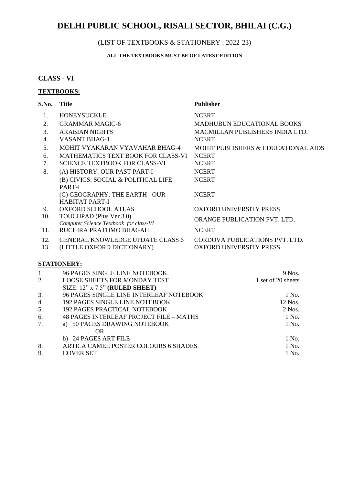### (LIST OF TEXTBOOKS & STATIONERY : 2022-23)

### **ALL THE TEXTBOOKS MUST BE OF LATEST EDITION**

### **CLASS - VI**

### **TEXTBOOKS:**

| S.No. | <b>Title</b>                                   | <b>Publisher</b>                    |
|-------|------------------------------------------------|-------------------------------------|
| 1.    | <b>HONEYSUCKLE</b>                             | <b>NCERT</b>                        |
| 2.    | <b>GRAMMAR MAGIC-6</b>                         | <b>MADHUBUN EDUCATIONAL BOOKS</b>   |
| 3.    | <b>ARABIAN NIGHTS</b>                          | MACMILLAN PUBLISHERS INDIA LTD.     |
| 4.    | <b>VASANT BHAG-1</b>                           | <b>NCERT</b>                        |
| 5.    | MOHIT VYAKARAN VYAVAHAR BHAG-4                 | MOHIT PUBLISHERS & EDUCATIONAL AIDS |
| 6.    | <b>MATHEMATICS TEXT BOOK FOR CLASS-VI</b>      | <b>NCERT</b>                        |
| 7.    | <b>SCIENCE TEXTBOOK FOR CLASS-VI</b>           | <b>NCERT</b>                        |
| 8.    | (A) HISTORY: OUR PAST PART-I                   | <b>NCERT</b>                        |
|       | (B) CIVICS: SOCIAL & POLITICAL LIFE            | <b>NCERT</b>                        |
|       | PART-I                                         |                                     |
|       | (C) GEOGRAPHY: THE EARTH - OUR                 | <b>NCERT</b>                        |
|       | <b>HABITAT PART-I</b>                          |                                     |
| 9.    | <b>OXFORD SCHOOL ATLAS</b>                     | <b>OXFORD UNIVERSITY PRESS</b>      |
| 10.   | TOUCHPAD (Plus Ver 3.0)                        | <b>ORANGE PUBLICATION PVT. LTD.</b> |
|       | Computer Science Textbook for class-VI         |                                     |
| 11.   | RUCHIRA PRATHMO BHAGAH                         | <b>NCERT</b>                        |
| 12.   | <b>GENERAL KNOWLEDGE UPDATE CLASS 6</b>        | CORDOVA PUBLICATIONS PVT. LTD.      |
| 13.   | (LITTLE OXFORD DICTIONARY)                     | <b>OXFORD UNIVERSITY PRESS</b>      |
|       | <b>STATIONERY:</b>                             |                                     |
| 1.    | 96 PAGES SINGLE LINE NOTEBOOK                  | 9 Nos.                              |
| 2.    | <b>LOOSE SHEETS FOR MONDAY TEST</b>            | 1 set of 20 sheets                  |
|       | SIZE: 12" x 7.5" (RULED SHEET)                 |                                     |
| 3.    | 96 PAGES SINGLE LINE INTERLEAF NOTEBOOK        | 1 No.                               |
| 4.    | <b>192 PAGES SINGLE LINE NOTEBOOK</b>          | 12 Nos.                             |
| 5.    | <b>192 PAGES PRACTICAL NOTEBOOK</b>            | $2$ Nos.                            |
| 6.    | <b>48 PAGES INTERLEAF PROJECT FILE - MATHS</b> | 1 No.                               |

7. a) 50 PAGES DRAWING NOTEBOOK 1 No.

8. ARTICA CAMEL POSTER COLOURS 6 SHADES 1 No.<br>
9. COVER SET 1 No.

b) 24 PAGES ART FILE 1 No.

OR

9. COVER SET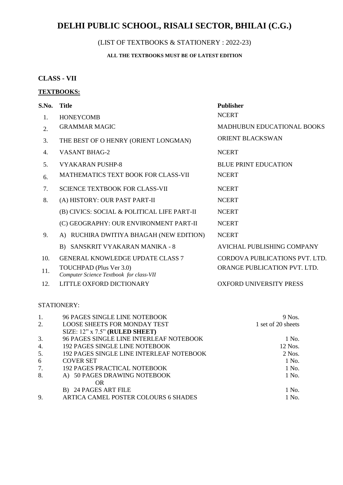## (LIST OF TEXTBOOKS & STATIONERY : 2022-23)

### **ALL THE TEXTBOOKS MUST BE OF LATEST EDITION**

### **CLASS - VII**

#### **TEXTBOOKS:**

| S.No.          | <b>Title</b>                                                       | <b>Publisher</b>                  |
|----------------|--------------------------------------------------------------------|-----------------------------------|
| 1.             | <b>HONEYCOMB</b>                                                   | <b>NCERT</b>                      |
| 2.             | <b>GRAMMAR MAGIC</b>                                               | <b>MADHUBUN EDUCATIONAL BOOKS</b> |
| 3.             | THE BEST OF O HENRY (ORIENT LONGMAN)                               | <b>ORIENT BLACKSWAN</b>           |
| 4.             | <b>VASANT BHAG-2</b>                                               | <b>NCERT</b>                      |
| 5 <sub>1</sub> | <b>VYAKARAN PUSHP-8</b>                                            | <b>BLUE PRINT EDUCATION</b>       |
| 6.             | MATHEMATICS TEXT BOOK FOR CLASS-VII                                | <b>NCERT</b>                      |
| 7.             | <b>SCIENCE TEXTBOOK FOR CLASS-VII</b>                              | <b>NCERT</b>                      |
| 8.             | (A) HISTORY: OUR PAST PART-II                                      | <b>NCERT</b>                      |
|                | (B) CIVICS: SOCIAL & POLITICAL LIFE PART-II                        | <b>NCERT</b>                      |
|                | (C) GEOGRAPHY: OUR ENVIRONMENT PART-II                             | <b>NCERT</b>                      |
| 9.             | A) RUCHIRA DWITIYA BHAGAH (NEW EDITION)                            | <b>NCERT</b>                      |
|                | B) SANSKRIT VYAKARAN MANIKA - 8                                    | <b>AVICHAL PUBLISHING COMPANY</b> |
| 10.            | <b>GENERAL KNOWLEDGE UPDATE CLASS 7</b>                            | CORDOVA PUBLICATIONS PVT. LTD.    |
| 11.            | TOUCHPAD (Plus Ver 3.0)<br>Computer Science Textbook for class-VII | ORANGE PUBLICATION PVT. LTD.      |
| 12.            | LITTLE OXFORD DICTIONARY                                           | <b>OXFORD UNIVERSITY PRESS</b>    |

| 1. | 96 PAGES SINGLE LINE NOTEBOOK            | 9 Nos.             |
|----|------------------------------------------|--------------------|
| 2. | <b>LOOSE SHEETS FOR MONDAY TEST</b>      | 1 set of 20 sheets |
|    | SIZE: 12" x 7.5" (RULED SHEET)           |                    |
| 3. | 96 PAGES SINGLE LINE INTERLEAF NOTEBOOK  | 1 No.              |
| 4. | 192 PAGES SINGLE LINE NOTEBOOK           | 12 Nos.            |
| 5. | 192 PAGES SINGLE LINE INTERLEAF NOTEBOOK | $2$ Nos.           |
| 6  | <b>COVER SET</b>                         | 1 No.              |
| 7. | <b>192 PAGES PRACTICAL NOTEBOOK</b>      | 1 No.              |
| 8. | A) 50 PAGES DRAWING NOTEBOOK             | 1 No.              |
|    | <b>OR</b>                                |                    |
|    | B) 24 PAGES ART FILE                     | 1 No.              |
| 9. | ARTICA CAMEL POSTER COLOURS 6 SHADES     | 1 No.              |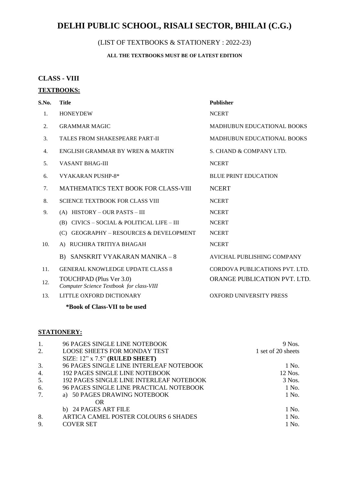## (LIST OF TEXTBOOKS & STATIONERY : 2022-23)

### **ALL THE TEXTBOOKS MUST BE OF LATEST EDITION**

### **CLASS - VIII**

### **TEXTBOOKS:**

| S.No.                  | <b>Title</b>                                                        | <b>Publisher</b>                  |
|------------------------|---------------------------------------------------------------------|-----------------------------------|
| 1.                     | <b>HONEYDEW</b>                                                     | <b>NCERT</b>                      |
| 2.                     | <b>GRAMMAR MAGIC</b>                                                | <b>MADHUBUN EDUCATIONAL BOOKS</b> |
| $\mathcal{R}_{\alpha}$ | <b>TALES FROM SHAKESPEARE PART-II</b>                               | <b>MADHUBUN EDUCATIONAL BOOKS</b> |
| 4.                     | ENGLISH GRAMMAR BY WREN & MARTIN                                    | S. CHAND & COMPANY LTD.           |
| 5.                     | <b>VASANT BHAG-III</b>                                              | <b>NCERT</b>                      |
| 6.                     | VYAKARAN PUSHP-8*                                                   | <b>BLUE PRINT EDUCATION</b>       |
| 7.                     | <b>MATHEMATICS TEXT BOOK FOR CLASS-VIII</b>                         | <b>NCERT</b>                      |
| 8.                     | <b>SCIENCE TEXTBOOK FOR CLASS VIII</b>                              | <b>NCERT</b>                      |
| 9.                     | (A) HISTORY - OUR PASTS - III                                       | <b>NCERT</b>                      |
|                        | (B) CIVICS - SOCIAL & POLITICAL LIFE - III                          | <b>NCERT</b>                      |
|                        | (C) GEOGRAPHY – RESOURCES & DEVELOPMENT                             | <b>NCERT</b>                      |
| 10.                    | A) RUCHIRA TRITIYA BHAGAH                                           | <b>NCERT</b>                      |
|                        | B) SANSKRIT VYAKARAN MANIKA - 8                                     | AVICHAL PUBLISHING COMPANY        |
| 11.                    | <b>GENERAL KNOWLEDGE UPDATE CLASS 8</b>                             | CORDOVA PUBLICATIONS PVT. LTD.    |
| 12.                    | TOUCHPAD (Plus Ver 3.0)<br>Computer Science Textbook for class-VIII | ORANGE PUBLICATION PVT. LTD.      |
| 13.                    | LITTLE OXFORD DICTIONARY                                            | <b>OXFORD UNIVERSITY PRESS</b>    |

**\*Book of Class-VII to be used**

|    | 96 PAGES SINGLE LINE NOTEBOOK            | 9 Nos.             |
|----|------------------------------------------|--------------------|
| 2. | <b>LOOSE SHEETS FOR MONDAY TEST</b>      | 1 set of 20 sheets |
|    | SIZE: 12" x 7.5" (RULED SHEET)           |                    |
| 3. | 96 PAGES SINGLE LINE INTERLEAF NOTEBOOK  | 1 No.              |
| 4. | 192 PAGES SINGLE LINE NOTEBOOK           | 12 Nos.            |
| 5. | 192 PAGES SINGLE LINE INTERLEAF NOTEBOOK | 3 Nos.             |
| 6. | 96 PAGES SINGLE LINE PRACTICAL NOTEBOOK  | 1 No.              |
| 7. | a) 50 PAGES DRAWING NOTEBOOK             | 1 No.              |
|    | OR.                                      |                    |
|    | b) 24 PAGES ART FILE                     | 1 No.              |
| 8. | ARTICA CAMEL POSTER COLOURS 6 SHADES     | 1 No.              |
| 9. | <b>COVER SET</b>                         | 1 No.              |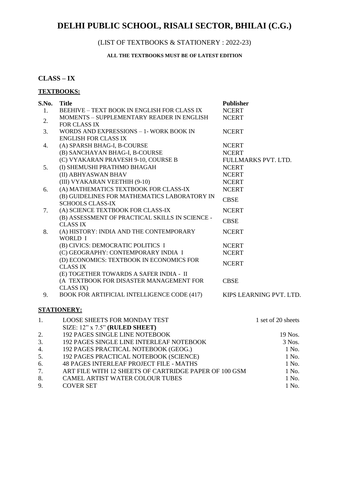## (LIST OF TEXTBOOKS & STATIONERY : 2022-23)

### **ALL THE TEXTBOOKS MUST BE OF LATEST EDITION**

### **CLASS – IX**

### **TEXTBOOKS:**

| S.No. | <b>Title</b>                                                           | <b>Publisher</b>                    |
|-------|------------------------------------------------------------------------|-------------------------------------|
| 1.    | <b>BEEHIVE - TEXT BOOK IN ENGLISH FOR CLASS IX</b>                     | <b>NCERT</b>                        |
| 2.    | MOMENTS - SUPPLEMENTARY READER IN ENGLISH                              | <b>NCERT</b>                        |
|       | FOR CLASS IX                                                           |                                     |
| 3.    | WORDS AND EXPRESSIONS - 1- WORK BOOK IN<br><b>ENGLISH FOR CLASS IX</b> | <b>NCERT</b>                        |
|       |                                                                        |                                     |
| 4.    | (A) SPARSH BHAG-I, B-COURSE<br>(B) SANCHAYAN BHAG-I, B-COURSE          | <b>NCERT</b>                        |
|       | (C) VYAKARAN PRAVESH 9-10, COURSE B                                    | <b>NCERT</b><br>FULLMARKS PVT. LTD. |
| 5.    | (I) SHEMUSHI PRATHMO BHAGAH                                            | <b>NCERT</b>                        |
|       | (II) ABHYASWAN BHAV                                                    | <b>NCERT</b>                        |
|       |                                                                        |                                     |
|       | (III) VYAKARAN VEETHIH (9-10)<br>(A) MATHEMATICS TEXTBOOK FOR CLASS-IX | <b>NCERT</b><br><b>NCERT</b>        |
| 6.    | (B) GUIDELINES FOR MATHEMATICS LABORATORY IN                           |                                     |
|       | <b>SCHOOLS CLASS-IX</b>                                                | <b>CBSE</b>                         |
| 7.    | (A) SCIENCE TEXTBOOK FOR CLASS-IX                                      | <b>NCERT</b>                        |
|       | (B) ASSESSMENT OF PRACTICAL SKILLS IN SCIENCE -                        | <b>CBSE</b>                         |
|       | <b>CLASS IX</b>                                                        |                                     |
| 8.    | (A) HISTORY: INDIA AND THE CONTEMPORARY<br>WORLD I                     | <b>NCERT</b>                        |
|       | (B) CIVICS: DEMOCRATIC POLITICS I                                      | <b>NCERT</b>                        |
|       | (C) GEOGRAPHY: CONTEMPORARY INDIA I                                    | <b>NCERT</b>                        |
|       | (D) ECONOMICS: TEXTBOOK IN ECONOMICS FOR                               |                                     |
|       | <b>CLASS IX</b>                                                        | <b>NCERT</b>                        |
|       | (E) TOGETHER TOWARDS A SAFER INDIA - II                                |                                     |
|       | (A TEXTBOOK FOR DISASTER MANAGEMENT FOR                                | <b>CBSE</b>                         |
|       | CLASS IX)                                                              |                                     |
| 9.    | <b>BOOK FOR ARTIFICIAL INTELLIGENCE CODE (417)</b>                     | KIPS LEARNING PVT. LTD.             |
|       | <u>STATIONERY:</u>                                                     |                                     |
|       |                                                                        |                                     |
| 1.    | <b>LOOSE SHEETS FOR MONDAY TEST</b>                                    | 1 set of 20 sheets                  |
|       | SIZE: 12" x 7.5" (RULED SHEET)                                         |                                     |
| 2.    | <b>192 PAGES SINGLE LINE NOTEBOOK</b>                                  | 19 Nos.                             |
| 3.    | 192 PAGES SINGLE LINE INTERLEAF NOTEBOOK                               | 3 Nos.                              |
| 4.    | 192 PAGES PRACTICAL NOTEBOOK (GEOG.)                                   | 1 No.                               |
| 5.    | 192 PAGES PRACTICAL NOTEBOOK (SCIENCE)                                 | 1 No.                               |
| 6.    | 48 PAGES INTERLEAF PROJECT FILE - MATHS                                | 1 No.                               |
| 7.    | ART FILE WITH 12 SHEETS OF CARTRIDGE PAPER OF 100 GSM                  | 1 No.                               |
| 8.    | CAMEL ARTIST WATER COLOUR TUBES                                        | 1 No.                               |

9. COVER SET 1 No.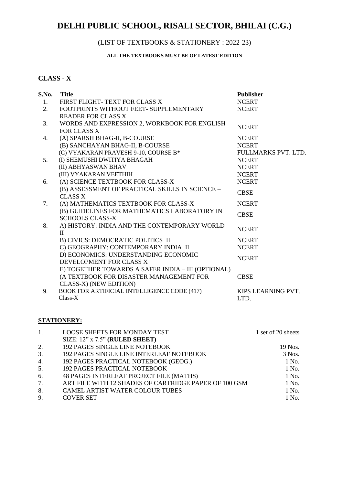## (LIST OF TEXTBOOKS & STATIONERY : 2022-23)

#### **ALL THE TEXTBOOKS MUST BE OF LATEST EDITION**

### **CLASS - X**

| S.No. | <b>Title</b>                                                 | <b>Publisher</b>    |
|-------|--------------------------------------------------------------|---------------------|
| 1.    | FIRST FLIGHT-TEXT FOR CLASS X                                | <b>NCERT</b>        |
| 2.    | FOOTPRINTS WITHOUT FEET- SUPPLEMENTARY                       | <b>NCERT</b>        |
|       | <b>READER FOR CLASS X</b>                                    |                     |
| 3.    | WORDS AND EXPRESSION 2, WORKBOOK FOR ENGLISH                 | <b>NCERT</b>        |
|       | <b>FOR CLASS X</b>                                           |                     |
| 4.    | (A) SPARSH BHAG-II, B-COURSE                                 | <b>NCERT</b>        |
|       | (B) SANCHAYAN BHAG-II, B-COURSE                              | <b>NCERT</b>        |
|       | (C) VYAKARAN PRAVESH 9-10, COURSE B*                         | FULLMARKS PVT. LTD. |
| 5.    | (I) SHEMUSHI DWITIYA BHAGAH                                  | <b>NCERT</b>        |
|       | (II) ABHYASWAN BHAV                                          | <b>NCERT</b>        |
|       | (III) VYAKARAN VEETHIH                                       | <b>NCERT</b>        |
| 6.    | (A) SCIENCE TEXTBOOK FOR CLASS-X                             | <b>NCERT</b>        |
|       | (B) ASSESSMENT OF PRACTICAL SKILLS IN SCIENCE -              | <b>CBSE</b>         |
|       | <b>CLASS X</b>                                               |                     |
| 7.    | (A) MATHEMATICS TEXTBOOK FOR CLASS-X                         | <b>NCERT</b>        |
|       | (B) GUIDELINES FOR MATHEMATICS LABORATORY IN                 | <b>CBSE</b>         |
|       | <b>SCHOOLS CLASS-X</b>                                       |                     |
| 8.    | A) HISTORY: INDIA AND THE CONTEMPORARY WORLD<br>$\mathbf{H}$ | <b>NCERT</b>        |
|       | B) CIVICS: DEMOCRATIC POLITICS II                            | <b>NCERT</b>        |
|       | C) GEOGRAPHY: CONTEMPORARY INDIA II                          | <b>NCERT</b>        |
|       | D) ECONOMICS: UNDERSTANDING ECONOMIC                         |                     |
|       | DEVELOPMENT FOR CLASS X                                      | <b>NCERT</b>        |
|       | E) TOGETHER TOWARDS A SAFER INDIA - III (OPTIONAL)           |                     |
|       | (A TEXTBOOK FOR DISASTER MANAGEMENT FOR                      | <b>CBSE</b>         |
|       | CLASS-X) (NEW EDITION)                                       |                     |
| 9.    | BOOK FOR ARTIFICIAL INTELLIGENCE CODE (417)                  | KIPS LEARNING PVT.  |
|       | $Class-X$                                                    | LTD.                |

| 1. | <b>LOOSE SHEETS FOR MONDAY TEST</b>                   | 1 set of 20 sheets |
|----|-------------------------------------------------------|--------------------|
|    | SIZE: $12$ " x $7.5$ " (RULED SHEET)                  |                    |
| 2. | <b>192 PAGES SINGLE LINE NOTEBOOK</b>                 | 19 Nos.            |
| 3. | <b>192 PAGES SINGLE LINE INTERLEAF NOTEBOOK</b>       | 3 Nos.             |
| 4. | 192 PAGES PRACTICAL NOTEBOOK (GEOG.)                  | 1 No.              |
| 5. | <b>192 PAGES PRACTICAL NOTEBOOK</b>                   | 1 No.              |
| 6. | 48 PAGES INTERLEAF PROJECT FILE (MATHS)               | 1 No.              |
| 7. | ART FILE WITH 12 SHADES OF CARTRIDGE PAPER OF 100 GSM | 1 No.              |
| 8. | <b>CAMEL ARTIST WATER COLOUR TUBES</b>                | 1 No.              |
| 9. | <b>COVER SET</b>                                      | 1 No.              |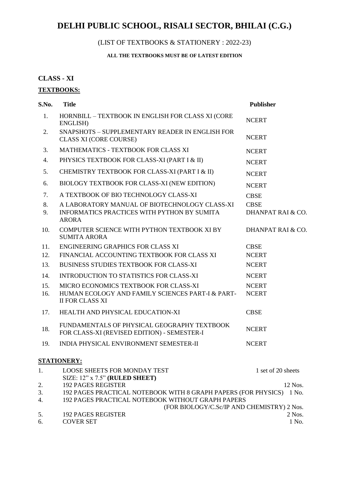## (LIST OF TEXTBOOKS & STATIONERY : 2022-23)

### **ALL THE TEXTBOOKS MUST BE OF LATEST EDITION**

### **CLASS - XI**

### **TEXTBOOKS:**

| S.No.    | <b>Title</b>                                                                                      | <b>Publisher</b>   |
|----------|---------------------------------------------------------------------------------------------------|--------------------|
| 1.       | HORNBILL - TEXTBOOK IN ENGLISH FOR CLASS XI (CORE<br>ENGLISH)                                     | <b>NCERT</b>       |
| 2.       | SNAPSHOTS - SUPPLEMENTARY READER IN ENGLISH FOR<br><b>CLASS XI (CORE COURSE)</b>                  | <b>NCERT</b>       |
| 3.       | MATHEMATICS - TEXTBOOK FOR CLASS XI                                                               | <b>NCERT</b>       |
| 4.       | PHYSICS TEXTBOOK FOR CLASS-XI (PART I & II)                                                       | <b>NCERT</b>       |
| 5.       | CHEMISTRY TEXTBOOK FOR CLASS-XI (PART I & II)                                                     | <b>NCERT</b>       |
| 6.       | BIOLOGY TEXTBOOK FOR CLASS-XI (NEW EDITION)                                                       | <b>NCERT</b>       |
| 7.       | A TEXTBOOK OF BIO TECHNOLOGY CLASS-XI                                                             | <b>CBSE</b>        |
| 8.       | A LABORATORY MANUAL OF BIOTECHNOLOGY CLASS-XI                                                     | <b>CBSE</b>        |
| 9.       | INFORMATICS PRACTICES WITH PYTHON BY SUMITA<br><b>ARORA</b>                                       | DHANPAT RAI & CO.  |
| 10.      | COMPUTER SCIENCE WITH PYTHON TEXTBOOK XI BY<br><b>SUMITA ARORA</b>                                | DHANPAT RAI & CO.  |
| 11.      | ENGINEERING GRAPHICS FOR CLASS XI                                                                 | <b>CBSE</b>        |
| 12.      | FINANCIAL ACCOUNTING TEXTBOOK FOR CLASS XI                                                        | <b>NCERT</b>       |
| 13.      | BUSINESS STUDIES TEXTBOOK FOR CLASS-XI                                                            | <b>NCERT</b>       |
| 14.      | <b>INTRODUCTION TO STATISTICS FOR CLASS-XI</b>                                                    | <b>NCERT</b>       |
| 15.      | MICRO ECONOMICS TEXTBOOK FOR CLASS-XI                                                             | <b>NCERT</b>       |
| 16.      | HUMAN ECOLOGY AND FAMILY SCIENCES PART-I & PART-<br><b>II FOR CLASS XI</b>                        | <b>NCERT</b>       |
| 17.      | HEALTH AND PHYSICAL EDUCATION-XI                                                                  | <b>CBSE</b>        |
| 18.      | FUNDAMENTALS OF PHYSICAL GEOGRAPHY TEXTBOOK<br>FOR CLASS-XI (REVISED EDITION) - SEMESTER-I        | <b>NCERT</b>       |
| 19.      | INDIA PHYSICAL ENVIRONMENT SEMESTER-II                                                            | <b>NCERT</b>       |
|          | STATIONERY:                                                                                       |                    |
| 1.       | <b>LOOSE SHEETS FOR MONDAY TEST</b>                                                               | 1 set of 20 sheets |
|          | SIZE: 12" x 7.5" (RULED SHEET)                                                                    |                    |
| 2.<br>3. | <b>192 PAGES REGISTER</b><br>192 PAGES PRACTICAL NOTEBOOK WITH 8 GRAPH PAPERS (FOR PHYSICS) 1 No. | 12 Nos.            |
| 4.       | 192 PAGES PRACTICAL NOTEBOOK WITHOUT GRAPH PAPERS                                                 |                    |
|          | (FOR BIOLOGY/C.Sc/IP AND CHEMISTRY) 2 Nos.                                                        |                    |

5. 192 PAGES REGISTER 2 Nos.<br>6. COVER SET 1 No.

6. COVER SET